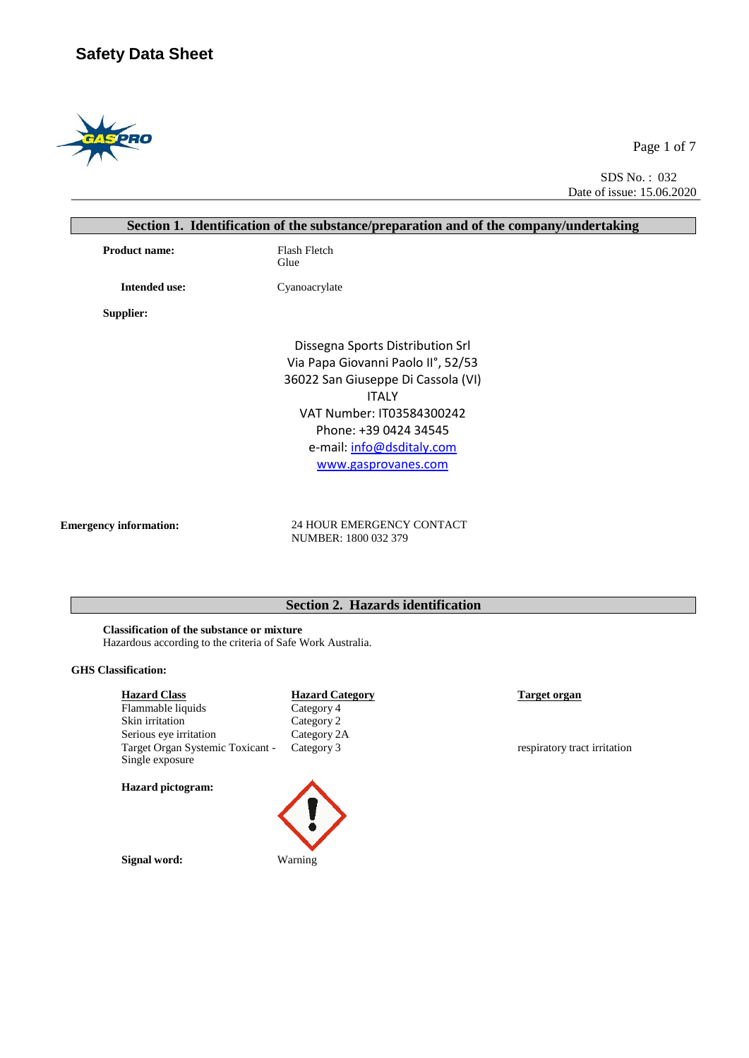

Page 1 of 7

SDS No. : 032 Date of issue: 15.06.2020

|                      | Section 1. Identification of the substance/preparation and of the company/undertaking |  |  |  |  |
|----------------------|---------------------------------------------------------------------------------------|--|--|--|--|
| <b>Product name:</b> | Flash Fletch<br>Glue                                                                  |  |  |  |  |
| <b>Intended use:</b> | Cyanoacrylate                                                                         |  |  |  |  |
| Supplier:            |                                                                                       |  |  |  |  |
|                      | Dissegna Sports Distribution Srl                                                      |  |  |  |  |
|                      | Via Papa Giovanni Paolo II°, 52/53                                                    |  |  |  |  |
|                      | 36022 San Giuseppe Di Cassola (VI)                                                    |  |  |  |  |
|                      | <b>ITALY</b>                                                                          |  |  |  |  |
|                      | VAT Number: IT03584300242                                                             |  |  |  |  |
|                      | Phone: +39 0424 34545                                                                 |  |  |  |  |
|                      | e-mail: info@dsditaly.com                                                             |  |  |  |  |
|                      | www.gasprovanes.com                                                                   |  |  |  |  |
|                      |                                                                                       |  |  |  |  |
|                      |                                                                                       |  |  |  |  |

**Emergency information:** 24 HOUR EMERGENCY CONTACT NUMBER: 1800 032 379

# **Section 2. Hazards identification**

**Classification of the substance or mixture** Hazardous according to the criteria of Safe Work Australia.

#### **GHS Classification:**

| <b>Hazard Class</b>                                 | <b>Hazard Cate</b> |
|-----------------------------------------------------|--------------------|
| Flammable liquids                                   | Category 4         |
| Skin irritation                                     | Category 2         |
| Serious eye irritation                              | Category 2A        |
| Target Organ Systemic Toxicant -<br>Single exposure | Category 3         |
| <b>Hazard</b> pictogram:                            |                    |

**Signal word:** Warning



respiratory tract irritation

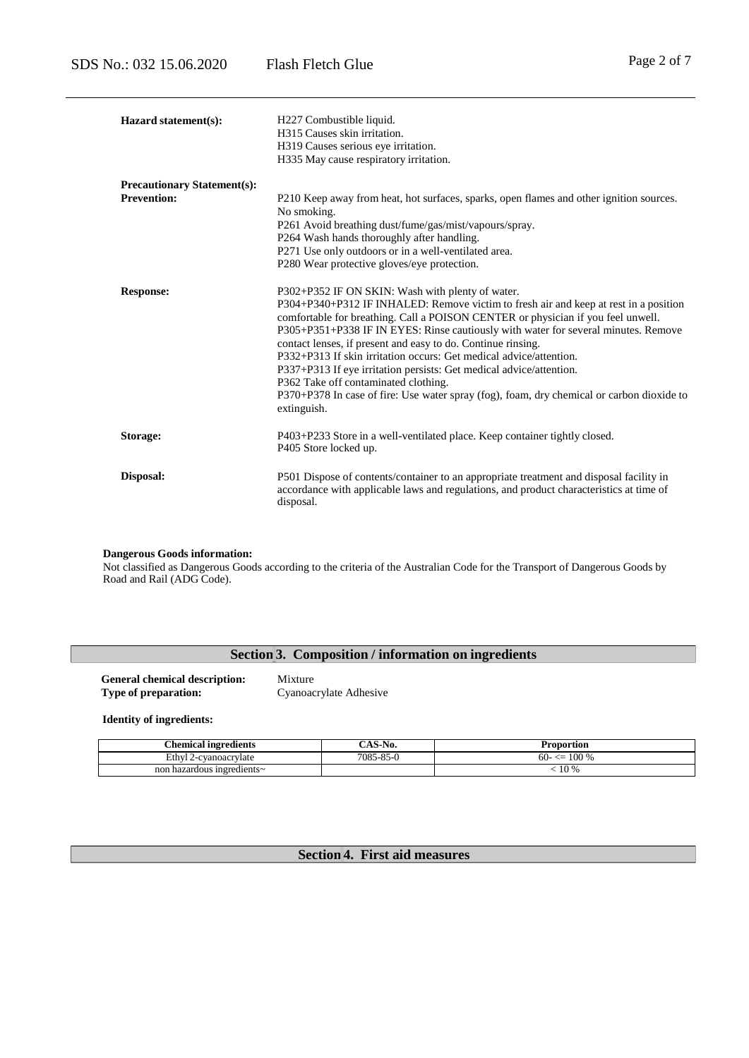| Hazard statement(s):               | H227 Combustible liquid.<br>H315 Causes skin irritation.<br>H319 Causes serious eye irritation.<br>H335 May cause respiratory irritation.                                                                                                                                                                                                                                                                                                                                                                                                                                                                                                                                           |  |  |  |
|------------------------------------|-------------------------------------------------------------------------------------------------------------------------------------------------------------------------------------------------------------------------------------------------------------------------------------------------------------------------------------------------------------------------------------------------------------------------------------------------------------------------------------------------------------------------------------------------------------------------------------------------------------------------------------------------------------------------------------|--|--|--|
| <b>Precautionary Statement(s):</b> |                                                                                                                                                                                                                                                                                                                                                                                                                                                                                                                                                                                                                                                                                     |  |  |  |
| <b>Prevention:</b>                 | P210 Keep away from heat, hot surfaces, sparks, open flames and other ignition sources.<br>No smoking.<br>P261 Avoid breathing dust/fume/gas/mist/vapours/spray.<br>P264 Wash hands thoroughly after handling.<br>P271 Use only outdoors or in a well-ventilated area.<br>P280 Wear protective gloves/eye protection.                                                                                                                                                                                                                                                                                                                                                               |  |  |  |
| <b>Response:</b>                   | P302+P352 IF ON SKIN: Wash with plenty of water.<br>P304+P340+P312 IF INHALED: Remove victim to fresh air and keep at rest in a position<br>comfortable for breathing. Call a POISON CENTER or physician if you feel unwell.<br>P305+P351+P338 IF IN EYES: Rinse cautiously with water for several minutes. Remove<br>contact lenses, if present and easy to do. Continue rinsing.<br>P332+P313 If skin irritation occurs: Get medical advice/attention.<br>P337+P313 If eye irritation persists: Get medical advice/attention.<br>P362 Take off contaminated clothing.<br>P370+P378 In case of fire: Use water spray (fog), foam, dry chemical or carbon dioxide to<br>extinguish. |  |  |  |
| Storage:                           | P403+P233 Store in a well-ventilated place. Keep container tightly closed.<br>P405 Store locked up.                                                                                                                                                                                                                                                                                                                                                                                                                                                                                                                                                                                 |  |  |  |
| Disposal:                          | P501 Dispose of contents/container to an appropriate treatment and disposal facility in<br>accordance with applicable laws and regulations, and product characteristics at time of<br>disposal.                                                                                                                                                                                                                                                                                                                                                                                                                                                                                     |  |  |  |

#### **Dangerous Goods information:**

Not classified as Dangerous Goods according to the criteria of the Australian Code for the Transport of Dangerous Goods by Road and Rail (ADG Code).

## **Section 3. Composition / information on ingredients**

**General chemical description:** Mixture<br> **Type of preparation:** Cyanoac

**Type of preparation:** Cyanoacrylate Adhesive

**Identity of ingredients:**

| $\sim$<br>hemical ingredients.   | $\sim$<br>·N0.<br>-A0- | Proportion                 |
|----------------------------------|------------------------|----------------------------|
| Ethvl<br>2-cvanoacrvlate<br>-4   | $7085 - 85 - 6$        | 100 %<br>$60-$<br><u>—</u> |
| .1 hazardous ingredients∼<br>non |                        | 10 %                       |

# **Section 4. First aid measures**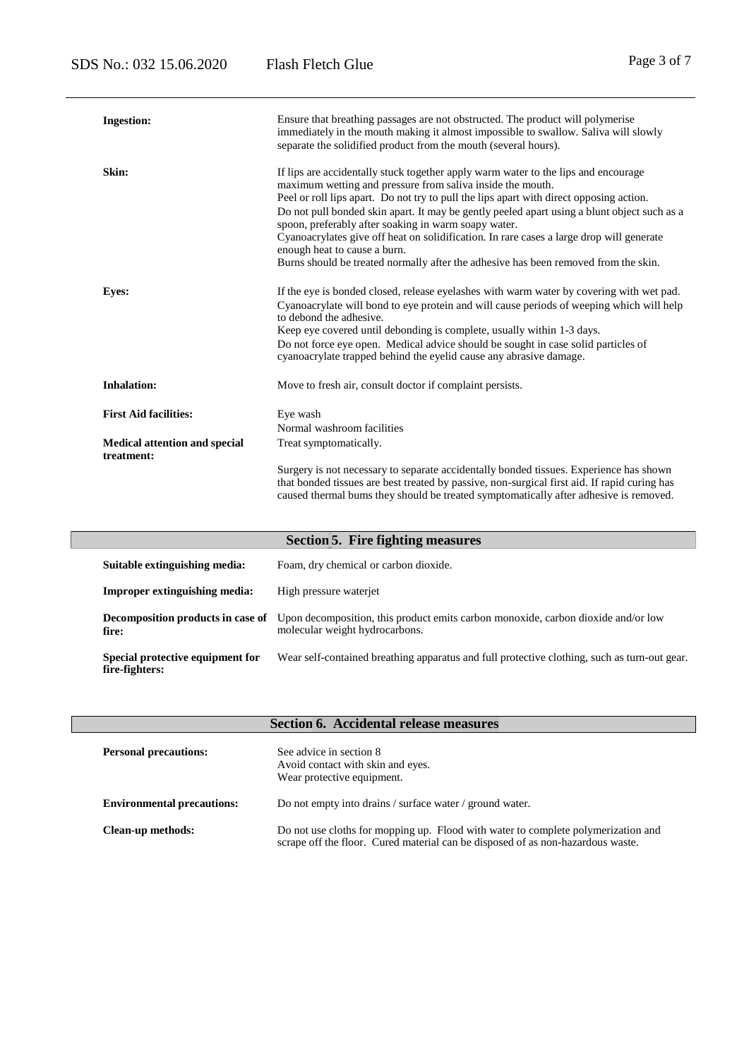| <b>Ingestion:</b>                                  | Ensure that breathing passages are not obstructed. The product will polymerise<br>immediately in the mouth making it almost impossible to swallow. Saliva will slowly<br>separate the solidified product from the mouth (several hours).                                                                                                                                                                                                                                                                                                                                                                              |  |  |
|----------------------------------------------------|-----------------------------------------------------------------------------------------------------------------------------------------------------------------------------------------------------------------------------------------------------------------------------------------------------------------------------------------------------------------------------------------------------------------------------------------------------------------------------------------------------------------------------------------------------------------------------------------------------------------------|--|--|
| Skin:                                              | If lips are accidentally stuck together apply warm water to the lips and encourage<br>maximum wetting and pressure from saliva inside the mouth.<br>Peel or roll lips apart. Do not try to pull the lips apart with direct opposing action.<br>Do not pull bonded skin apart. It may be gently peeled apart using a blunt object such as a<br>spoon, preferably after soaking in warm soapy water.<br>Cyanoacrylates give off heat on solidification. In rare cases a large drop will generate<br>enough heat to cause a burn.<br>Burns should be treated normally after the adhesive has been removed from the skin. |  |  |
| <b>Eyes:</b>                                       | If the eye is bonded closed, release eyelashes with warm water by covering with wet pad.<br>Cyanoacrylate will bond to eye protein and will cause periods of weeping which will help<br>to debond the adhesive.<br>Keep eye covered until debonding is complete, usually within 1-3 days.<br>Do not force eye open. Medical advice should be sought in case solid particles of<br>cyanoacrylate trapped behind the eyelid cause any abrasive damage.                                                                                                                                                                  |  |  |
| <b>Inhalation:</b>                                 | Move to fresh air, consult doctor if complaint persists.                                                                                                                                                                                                                                                                                                                                                                                                                                                                                                                                                              |  |  |
| <b>First Aid facilities:</b>                       | Eye wash<br>Normal washroom facilities                                                                                                                                                                                                                                                                                                                                                                                                                                                                                                                                                                                |  |  |
| <b>Medical attention and special</b><br>treatment: | Treat symptomatically.                                                                                                                                                                                                                                                                                                                                                                                                                                                                                                                                                                                                |  |  |
|                                                    | Surgery is not necessary to separate accidentally bonded tissues. Experience has shown<br>that bonded tissues are best treated by passive, non-surgical first aid. If rapid curing has<br>caused thermal bums they should be treated symptomatically after adhesive is removed.                                                                                                                                                                                                                                                                                                                                       |  |  |

| <b>Section 5. Fire fighting measures</b>           |                                                                                                                     |  |  |  |
|----------------------------------------------------|---------------------------------------------------------------------------------------------------------------------|--|--|--|
| Suitable extinguishing media:                      | Foam, dry chemical or carbon dioxide.                                                                               |  |  |  |
| <b>Improper extinguishing media:</b>               | High pressure waterjet                                                                                              |  |  |  |
| Decomposition products in case of<br>fire:         | Upon decomposition, this product emits carbon monoxide, carbon dioxide and/or low<br>molecular weight hydrocarbons. |  |  |  |
| Special protective equipment for<br>fire-fighters: | Wear self-contained breathing apparatus and full protective clothing, such as turn-out gear.                        |  |  |  |

| <b>Section 6. Accidental release measures</b> |                                                                                                                                                                      |  |  |  |  |
|-----------------------------------------------|----------------------------------------------------------------------------------------------------------------------------------------------------------------------|--|--|--|--|
| <b>Personal precautions:</b>                  | See advice in section 8<br>Avoid contact with skin and eyes.<br>Wear protective equipment.                                                                           |  |  |  |  |
| <b>Environmental precautions:</b>             | Do not empty into drains / surface water / ground water.                                                                                                             |  |  |  |  |
| Clean-up methods:                             | Do not use cloths for mopping up. Flood with water to complete polymerization and<br>scrape off the floor. Cured material can be disposed of as non-hazardous waste. |  |  |  |  |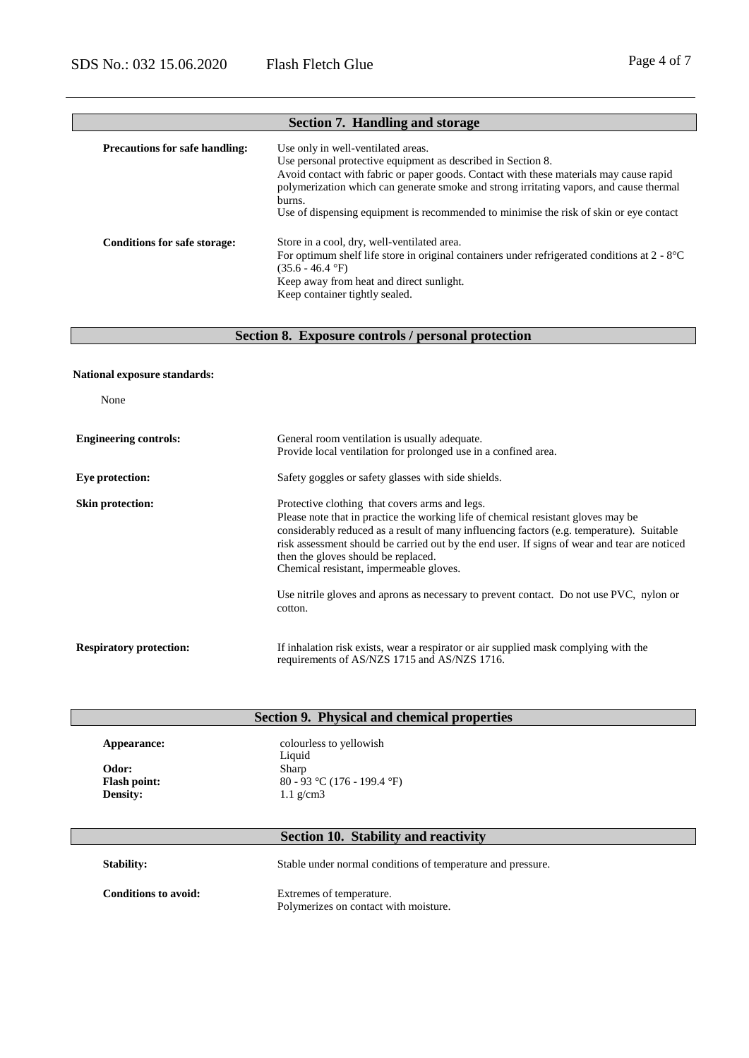# **Precautions for safe handling:** Use only in well-ventilated areas. Use personal protective equipment as described in Section 8. Avoid contact with fabric or paper goods. Contact with these materials may cause rapid polymerization which can generate smoke and strong irritating vapors, and cause thermal burns. Use of dispensing equipment is recommended to minimise the risk of skin or eye contact **Conditions for safe storage:** Store in a cool, dry, well-ventilated area. For optimum shelf life store in original containers under refrigerated conditions at 2 - 8°C  $(35.6 - 46.4 \degree F)$ Keep away from heat and direct sunlight. Keep container tightly sealed. **Section 7. Handling and storage**

#### **Section 8. Exposure controls / personal protection**

#### **National exposure standards:**

None

| <b>Engineering controls:</b>   | General room ventilation is usually adequate.<br>Provide local ventilation for prolonged use in a confined area.                                                                                                                                                                                                                                                                                                                                                                                                         |
|--------------------------------|--------------------------------------------------------------------------------------------------------------------------------------------------------------------------------------------------------------------------------------------------------------------------------------------------------------------------------------------------------------------------------------------------------------------------------------------------------------------------------------------------------------------------|
| Eye protection:                | Safety goggles or safety glasses with side shields.                                                                                                                                                                                                                                                                                                                                                                                                                                                                      |
| <b>Skin protection:</b>        | Protective clothing that covers arms and legs.<br>Please note that in practice the working life of chemical resistant gloves may be<br>considerably reduced as a result of many influencing factors (e.g. temperature). Suitable<br>risk assessment should be carried out by the end user. If signs of wear and tear are noticed<br>then the gloves should be replaced.<br>Chemical resistant, impermeable gloves.<br>Use nitrile gloves and aprons as necessary to prevent contact. Do not use PVC, nylon or<br>cotton. |
| <b>Respiratory protection:</b> | If inhalation risk exists, wear a respirator or air supplied mask complying with the<br>requirements of AS/NZS 1715 and AS/NZS 1716.                                                                                                                                                                                                                                                                                                                                                                                     |

| Appearance:         | colourless to yellowish<br>Liquid |
|---------------------|-----------------------------------|
| Odor:               | Sharp                             |
| <b>Flash point:</b> | 80 - 93 °C (176 - 199.4 °F)       |
| <b>Density:</b>     | 1.1 $g/cm3$                       |

**Stability:** Stable under normal conditions of temperature and pressure.

**Conditions to avoid:** Extremes of temperature. Polymerizes on contact with moisture.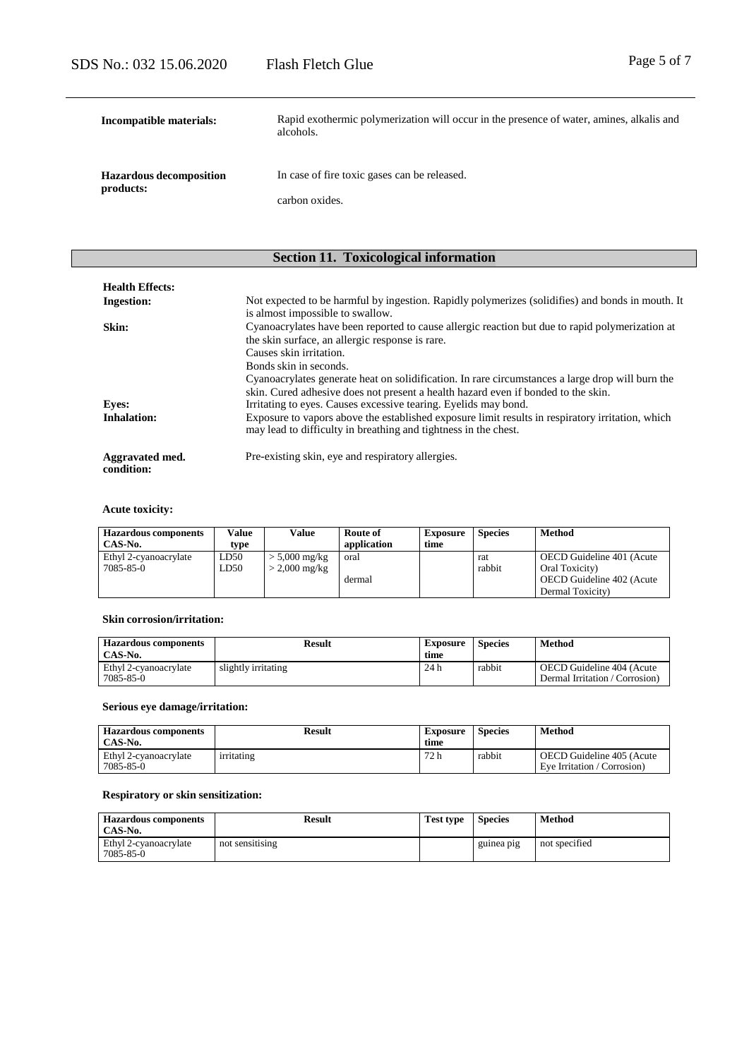| Incompatible materials:                     | Rapid exothermic polymerization will occur in the presence of water, amines, alkalis and<br>alcohols. |
|---------------------------------------------|-------------------------------------------------------------------------------------------------------|
| <b>Hazardous decomposition</b><br>products: | In case of fire toxic gases can be released.                                                          |
|                                             | carbon oxides.                                                                                        |

# **Section 11. Toxicological information**

| <b>Health Effects:</b>        |                                                                                                                                                                                                                                                                                    |
|-------------------------------|------------------------------------------------------------------------------------------------------------------------------------------------------------------------------------------------------------------------------------------------------------------------------------|
| <b>Ingestion:</b>             | Not expected to be harmful by ingestion. Rapidly polymerizes (solidifies) and bonds in mouth. It<br>is almost impossible to swallow.                                                                                                                                               |
| Skin:                         | Cyanoacrylates have been reported to cause allergic reaction but due to rapid polymerization at<br>the skin surface, an allergic response is rare.<br>Causes skin irritation.                                                                                                      |
| <b>Eyes:</b>                  | Bonds skin in seconds.<br>Cyanoacrylates generate heat on solidification. In rare circumstances a large drop will burn the<br>skin. Cured adhesive does not present a health hazard even if bonded to the skin.<br>Irritating to eyes. Causes excessive tearing. Eyelids may bond. |
| <b>Inhalation:</b>            | Exposure to vapors above the established exposure limit results in respiratory irritation, which<br>may lead to difficulty in breathing and tightness in the chest.                                                                                                                |
| Aggravated med.<br>condition: | Pre-existing skin, eye and respiratory allergies.                                                                                                                                                                                                                                  |

## **Acute toxicity:**

| <b>Hazardous components</b><br>CAS-No. | Value<br>type | Value           | Route of<br>application | <b>Exposure</b><br>time | <b>Species</b> | <b>Method</b>             |
|----------------------------------------|---------------|-----------------|-------------------------|-------------------------|----------------|---------------------------|
| Ethyl 2-cyanoacrylate                  | LD50          | $> 5,000$ mg/kg | oral                    |                         | rat            | OECD Guideline 401 (Acute |
| 7085-85-0                              | LD50          | $>$ 2,000 mg/kg |                         |                         | rabbit         | Oral Toxicity)            |
|                                        |               |                 | dermal                  |                         |                | OECD Guideline 402 (Acute |
|                                        |               |                 |                         |                         |                | Dermal Toxicity)          |

## **Skin corrosion/irritation:**

| <b>Hazardous components</b><br>CAS-No. | Result              | Exposure<br>time | <b>Species</b> | Method                                                      |
|----------------------------------------|---------------------|------------------|----------------|-------------------------------------------------------------|
| Ethyl 2-cyanoacrylate<br>7085-85-0     | slightly irritating | 24 h             | rabbit         | OECD Guideline 404 (Acute<br>Dermal Irritation / Corrosion) |

## **Serious eye damage/irritation:**

| <b>Hazardous components</b><br>CAS-No. | Result     | Exposure<br>time | <b>Species</b> | Method                                                   |
|----------------------------------------|------------|------------------|----------------|----------------------------------------------------------|
| Ethyl 2-cyanoacrylate<br>7085-85-0     | irritating | 72 h             | rabbit         | OECD Guideline 405 (Acute<br>Eve Irritation / Corrosion) |

## **Respiratory or skin sensitization:**

| <b>Hazardous components</b><br>CAS-No. | Result          | <b>Test type</b> | <b>Species</b> | Method        |
|----------------------------------------|-----------------|------------------|----------------|---------------|
| Ethyl 2-cyanoacrylate<br>7085-85-0     | not sensitising |                  | guinea pig     | not specified |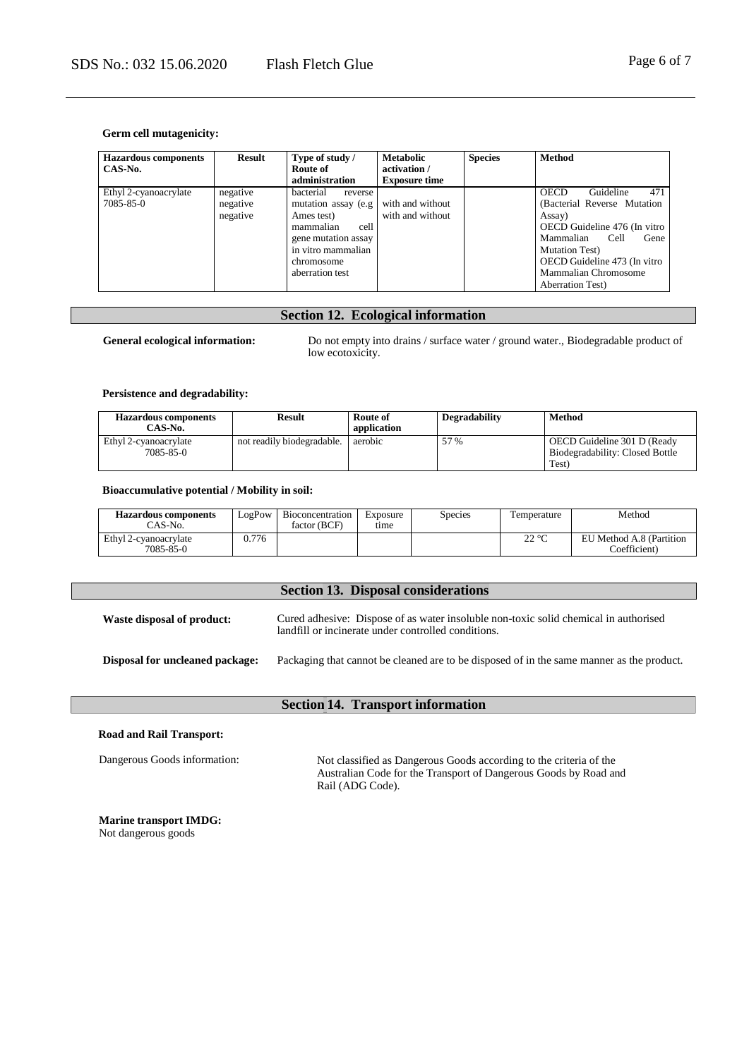#### **Germ cell mutagenicity:**

| <b>Hazardous components</b><br>CAS-No. | <b>Result</b>                    | Type of study /<br>Route of<br>administration                                                                                                                 | <b>Metabolic</b><br>activation /<br><b>Exposure time</b> | <b>Species</b> | Method                                                                                                                                                                                                                                               |
|----------------------------------------|----------------------------------|---------------------------------------------------------------------------------------------------------------------------------------------------------------|----------------------------------------------------------|----------------|------------------------------------------------------------------------------------------------------------------------------------------------------------------------------------------------------------------------------------------------------|
| Ethyl 2-cyanoacrylate<br>7085-85-0     | negative<br>negative<br>negative | bacterial<br>reverse<br>mutation assay (e.g.<br>Ames test)<br>cell<br>mammalian<br>gene mutation assay<br>in vitro mammalian<br>chromosome<br>aberration test | with and without<br>with and without                     |                | Guideline<br>471<br><b>OECD</b><br>(Bacterial Reverse Mutation)<br>Assay)<br>OECD Guideline 476 (In vitro<br>Mammalian<br>Cell<br>Gene<br><b>Mutation Test</b> )<br>OECD Guideline 473 (In vitro<br>Mammalian Chromosome<br><b>Aberration Test</b> ) |

## **Section 12. Ecological information**

**General ecological information:** Do not empty into drains / surface water / ground water., Biodegradable product of low ecotoxicity.

#### **Persistence and degradability:**

| <b>Hazardous components</b><br>CAS-No. | Result                     | Route of<br>application | Degradability | Method                                                                  |
|----------------------------------------|----------------------------|-------------------------|---------------|-------------------------------------------------------------------------|
| Ethyl 2-cyanoacrylate<br>7085-85-0     | not readily biodegradable. | aerobic                 | 57 %          | OECD Guideline 301 D (Ready<br>Biodegradability: Closed Bottle<br>Test) |

#### **Bioaccumulative potential / Mobility in soil:**

| <b>Hazardous components</b><br>CAS-No. | LogPow | Bioconcentration<br>factor (BCF) | Exposure<br>tıme | Species | l'emperature | Method                                  |
|----------------------------------------|--------|----------------------------------|------------------|---------|--------------|-----------------------------------------|
| Ethyl 2-cyanoacrylate<br>7085-85-0     | 0.776  |                                  |                  |         | ാ ഘ<br>44 U  | U Method A.8 (Partition<br>Coefficient) |

|                                        | <b>Section 13. Disposal considerations</b>                                                                                                  |
|----------------------------------------|---------------------------------------------------------------------------------------------------------------------------------------------|
| Waste disposal of product:             | Cured adhesive: Dispose of as water insoluble non-toxic solid chemical in authorised<br>landfill or incinerate under controlled conditions. |
| <b>Disposal for uncleaned package:</b> | Packaging that cannot be cleaned are to be disposed of in the same manner as the product.                                                   |
|                                        | <b>Section 14. Transport information</b>                                                                                                    |
| <b>Road and Rail Transport:</b>        |                                                                                                                                             |

Dangerous Goods information: Not classified as Dangerous Goods according to the criteria of the Australian Code for the Transport of Dangerous Goods by Road and Rail (ADG Code).

**Marine transport IMDG:** Not dangerous goods